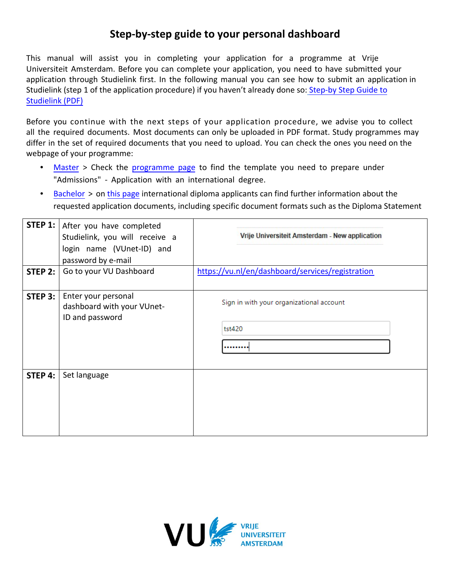## **Step-by-step guide to your personal dashboard**

This manual will assist you in completing your application for a programme at Vrije Universiteit Amsterdam. Before you can complete your application, you need to have submitted your application through Studielink first. In the following manual you can see how to submit an application in Studielink [\(step 1 of the application procedure\)](https://assets.vu.nl/d8b6f1f5-816c-005b-1dc1-e363dd7ce9a5/45015afa-2486-4032-85d4-88c91361c71e/Studielink_step-by-step_guide%202021.pdf) if you haven't already done so: Step-by Step Guide to Studielink (PDF)

Before you continue with the next steps of your application procedure, we advise you to collect all the required documents. Most documents can only be uploaded in PDF format. Study programmes may differ in the set of required documents that you need to upload. You can check the ones you need on the webpage of your programme:

- [Master](http://www.vu.nl/master) [>](http://www.vu.nl/master) Check the [programme](https://vu.nl/en/education/master/programmes) page to find the template you need to prepare under "Admissions" - Application with an international degree.
- [Bachelor](https://vu.nl/en/education/bachelor/programmes) > on [this page](https://vu.nl/en/education/more-about/application-documents) international diploma applicants can find further information about the requested application documents, including specific document formats such as the Diploma Statement

| STEP 2:   | STEP 1:   After you have completed<br>Studielink, you will receive a<br>login name (VUnet-ID) and<br>password by e-mail<br>Go to your VU Dashboard | Vrije Universiteit Amsterdam - New application<br>https://vu.nl/en/dashboard/services/registration |
|-----------|----------------------------------------------------------------------------------------------------------------------------------------------------|----------------------------------------------------------------------------------------------------|
| STEP $3:$ | Enter your personal<br>dashboard with your VUnet-<br>ID and password                                                                               | Sign in with your organizational account<br>tst420                                                 |
| STEP 4:   | Set language                                                                                                                                       |                                                                                                    |

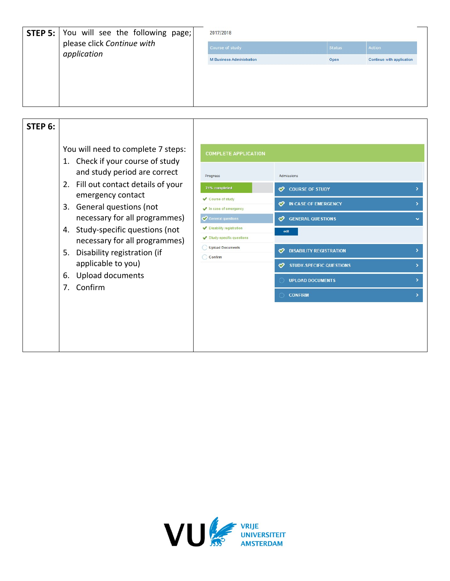| <b>STEP 5:</b> You will see the following page;<br>please click Continue with<br>application | 2017/2018                        |               |                           |
|----------------------------------------------------------------------------------------------|----------------------------------|---------------|---------------------------|
|                                                                                              | Course of study                  | <b>Status</b> | <b>Action</b>             |
|                                                                                              | <b>M Business Administration</b> | Open          | Continue with application |
|                                                                                              |                                  |               |                           |
|                                                                                              |                                  |               |                           |
|                                                                                              |                                  |               |                           |
|                                                                                              |                                  |               |                           |

| STEP 6: | You will need to complete 7 steps:                                                                                                                                                                                                                                                                                                                                             |                                                                                                                                                                                                                                                    |                                                                                                                                                                                                                                               |  |
|---------|--------------------------------------------------------------------------------------------------------------------------------------------------------------------------------------------------------------------------------------------------------------------------------------------------------------------------------------------------------------------------------|----------------------------------------------------------------------------------------------------------------------------------------------------------------------------------------------------------------------------------------------------|-----------------------------------------------------------------------------------------------------------------------------------------------------------------------------------------------------------------------------------------------|--|
|         | 1. Check if your course of study<br>and study period are correct<br>Fill out contact details of your<br>2.<br>emergency contact<br>General questions (not<br>3.<br>necessary for all programmes)<br>Study-specific questions (not<br>4.<br>necessary for all programmes)<br>Disability registration (if<br>5.<br>applicable to you)<br>Upload documents<br>6.<br>Confirm<br>7. | <b>COMPLETE APPLICATION</b><br>Progress<br>71% completed<br>Course of study<br>$\blacktriangleright$ In case of emergency<br>General questions<br>Disability registration<br><b>Study-specific questions</b><br><b>Upload Documents</b><br>Confirm | Admissions<br><b>COURSE OF STUDY</b><br>∽<br><b>W</b> IN CASE OF EMERGENCY<br><b>CO</b> GENERAL QUESTIONS<br>edit<br><b>DISABILITY REGISTRATION</b><br>∽<br><b>STUDY-SPECIFIC QUESTIONS</b><br>∞<br><b>UPLOAD DOCUMENTS</b><br><b>CONFIRM</b> |  |
|         |                                                                                                                                                                                                                                                                                                                                                                                |                                                                                                                                                                                                                                                    |                                                                                                                                                                                                                                               |  |

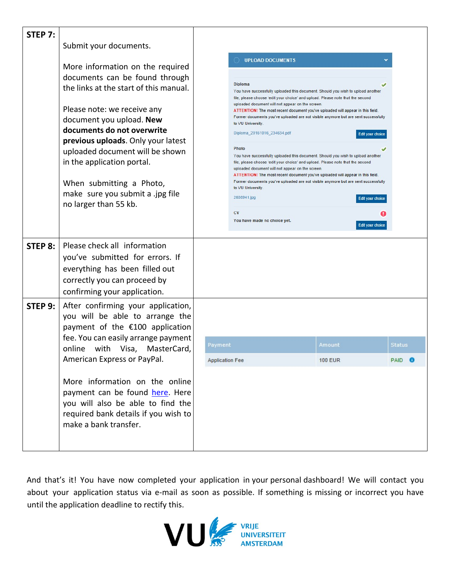| <b>STEP 7:</b> |                                                                                                                                                                                                                                                                                                                                                                                                       |                                                                                                                                                                                                                                                                                                                                                                                                                                                                                                                                                                                                                                                                                                                                                                                                                                                                                                                                                                                                                                                       |                                |  |
|----------------|-------------------------------------------------------------------------------------------------------------------------------------------------------------------------------------------------------------------------------------------------------------------------------------------------------------------------------------------------------------------------------------------------------|-------------------------------------------------------------------------------------------------------------------------------------------------------------------------------------------------------------------------------------------------------------------------------------------------------------------------------------------------------------------------------------------------------------------------------------------------------------------------------------------------------------------------------------------------------------------------------------------------------------------------------------------------------------------------------------------------------------------------------------------------------------------------------------------------------------------------------------------------------------------------------------------------------------------------------------------------------------------------------------------------------------------------------------------------------|--------------------------------|--|
|                | Submit your documents.                                                                                                                                                                                                                                                                                                                                                                                |                                                                                                                                                                                                                                                                                                                                                                                                                                                                                                                                                                                                                                                                                                                                                                                                                                                                                                                                                                                                                                                       |                                |  |
|                | More information on the required<br>documents can be found through<br>the links at the start of this manual.<br>Please note: we receive any<br>document you upload. New<br>documents do not overwrite<br>previous uploads. Only your latest<br>uploaded document will be shown<br>in the application portal.<br>When submitting a Photo,<br>make sure you submit a .jpg file<br>no larger than 55 kb. | <b>UPLOAD DOCUMENTS</b><br>Diploma<br>You have successfully uploaded this document. Should you wish to upload another<br>file, please choose 'edit your choice' and upload. Please note that the second<br>uploaded document will not appear on the screen.<br>ATTENTION! The most recent document you've uploaded will appear in this field.<br>Former documents you've uploaded are not visible anymore but are sent successfully<br>to VU University.<br>Diploma_20161016_234634.pdf<br>Edit your choice<br>Photo<br>You have successfully uploaded this document. Should you wish to upload another<br>file, please choose 'edit your choice' and upload. Please note that the second<br>uploaded document will not appear on the screen.<br>ATTENTION! The most recent document you've uploaded will appear in this field.<br>Former documents you've uploaded are not visible anymore but are sent successfully<br>to VU University.<br>2608941.jpg<br><b>Edit your choice</b><br>CV<br>You have made no choice yet.<br><b>Edit your choice</b> |                                |  |
| STEP 8:        | Please check all information<br>you've submitted for errors. If<br>everything has been filled out<br>correctly you can proceed by<br>confirming your application.                                                                                                                                                                                                                                     |                                                                                                                                                                                                                                                                                                                                                                                                                                                                                                                                                                                                                                                                                                                                                                                                                                                                                                                                                                                                                                                       |                                |  |
| STEP 9:        | After confirming your application,<br>you will be able to arrange the<br>payment of the €100 application<br>fee. You can easily arrange payment<br>online with Visa, MasterCard,<br>American Express or PayPal.<br>More information on the online<br>payment can be found here. Here<br>you will also be able to find the<br>required bank details if you wish to<br>make a bank transfer.            | Payment<br>Amount<br><b>Application Fee</b><br><b>100 EUR</b>                                                                                                                                                                                                                                                                                                                                                                                                                                                                                                                                                                                                                                                                                                                                                                                                                                                                                                                                                                                         | <b>Status</b><br>PAID <b>O</b> |  |

And that's it! You have now completed your application in your personal dashboard! We will contact you about your application status via e-mail as soon as possible. If something is missing or incorrect you have until the application deadline to rectify this.